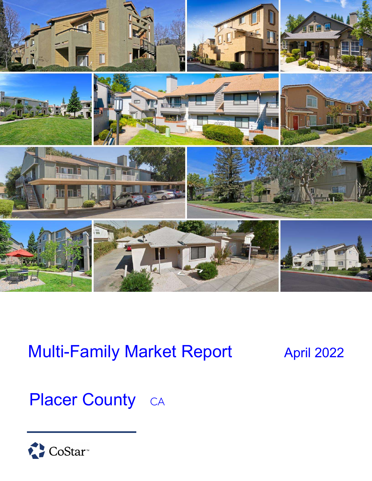

# Multi-Family Market Report April 2022

# Placer County CA

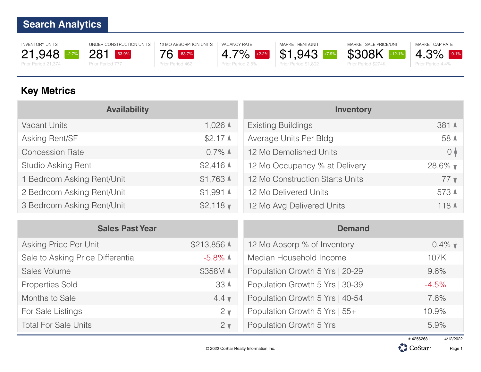INVENTORY UNITS 21,948 +2.7%

Prior Period 21,374

UNDER CONSTRUCTION UNITS 281 -63.9% Prior Period 777



12 MO ABSORPTION UNITS

VACANCY RATE 4.7% +2.2% Prior Period 2.5%

MARKET RENT/UNIT \$1,943 +7.9% Prior Period \$1,802





Prior Period 4.4%

### **Key Metrics**

| <b>Availability</b>        |                     | <b>Inventory</b>                |                  |
|----------------------------|---------------------|---------------------------------|------------------|
| <b>Vacant Units</b>        | $1,026$ $\triangle$ | <b>Existing Buildings</b>       | 381 4            |
| Asking Rent/SF             | $$2.17$ $\AA$       | Average Units Per Bldg          | 58 4             |
| <b>Concession Rate</b>     | $0.7\%$ $\uparrow$  | 12 Mo Demolished Units          | $\circ$          |
| Studio Asking Rent         | $$2,416$ $\uparrow$ | 12 Mo Occupancy % at Delivery   | $28.6\%$ $\star$ |
| 1 Bedroom Asking Rent/Unit | $$1,763$ $\uparrow$ | 12 Mo Construction Starts Units | $77 \;$ $\star$  |
| 2 Bedroom Asking Rent/Unit | $$1,991$ $\uparrow$ | 12 Mo Delivered Units           | 573 $\triangle$  |
| 3 Bedroom Asking Rent/Unit | $$2,118$ $\sqrt{ }$ | 12 Mo Avg Delivered Units       | 118 4            |

| <b>Sales Past Year</b>            |                       | <b>Demand</b>                   |                 |
|-----------------------------------|-----------------------|---------------------------------|-----------------|
| Asking Price Per Unit             | \$213,856 $\triangle$ | 12 Mo Absorp % of Inventory     | $0.4\%$ $\star$ |
| Sale to Asking Price Differential | $-5.8\%$ $\triangle$  | Median Household Income         | 107K            |
| Sales Volume                      | \$358M 4              | Population Growth 5 Yrs   20-29 | 9.6%            |
| <b>Properties Sold</b>            | 33 <sup>4</sup>       | Population Growth 5 Yrs   30-39 | $-4.5%$         |
| Months to Sale                    | $4.4 \; \star$        | Population Growth 5 Yrs   40-54 | 7.6%            |
| For Sale Listings                 | $2\sqrt{ }$           | Population Growth 5 Yrs   55+   | 10.9%           |
| <b>Total For Sale Units</b>       | $2\sqrt{ }$           | Population Growth 5 Yrs         | 5.9%            |



Page 1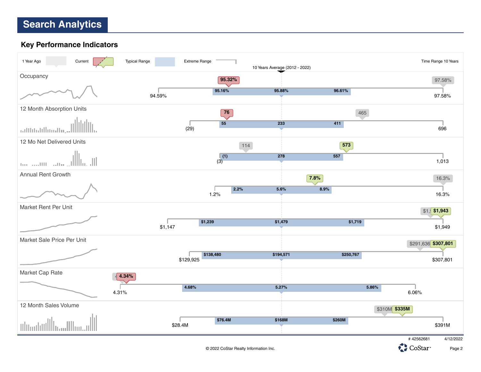#### **Key Performance Indicators**



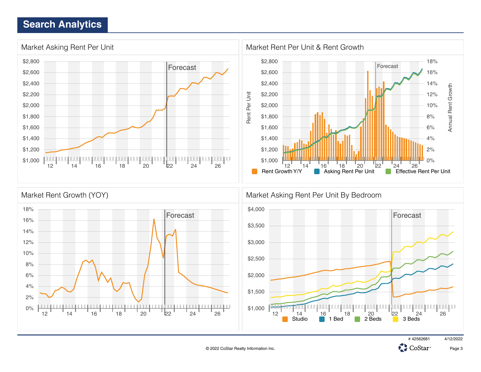



Page 3

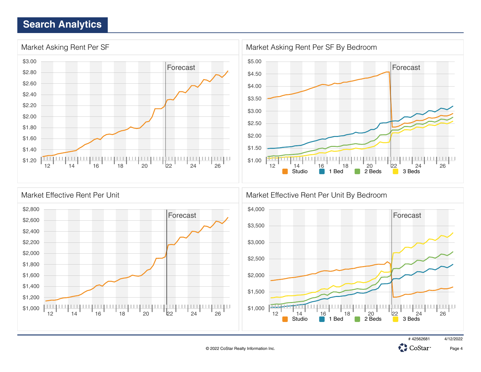





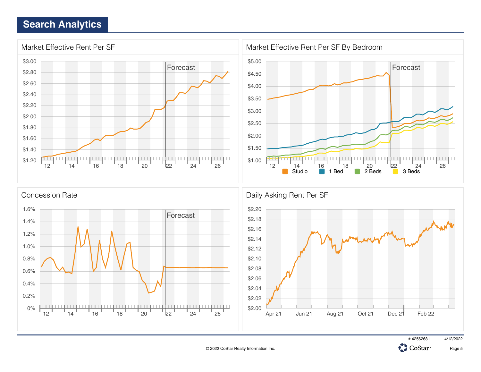



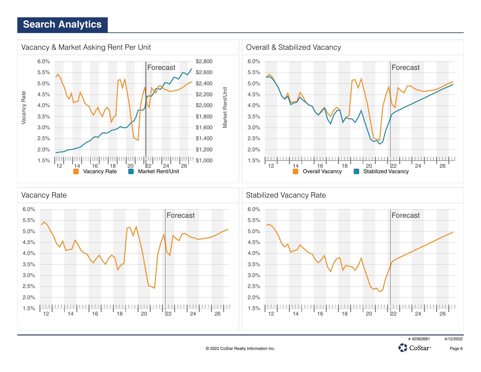

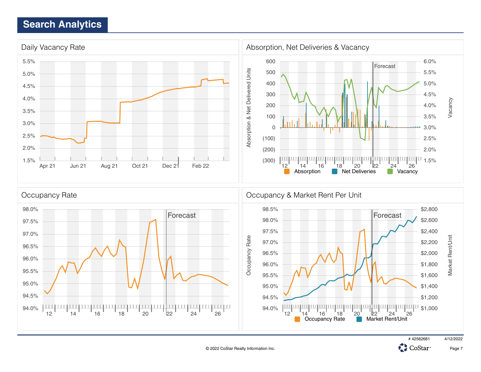

© 2022 CoStar Realty Information Inc.



**CH** 

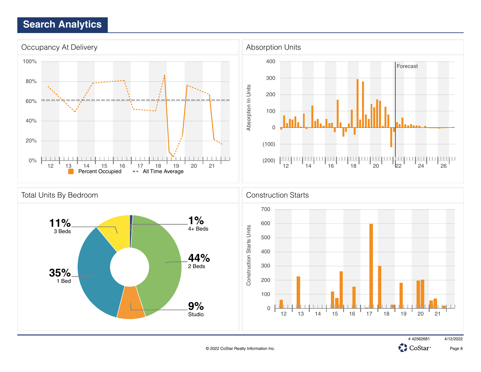

CoStar<sup>®</sup>

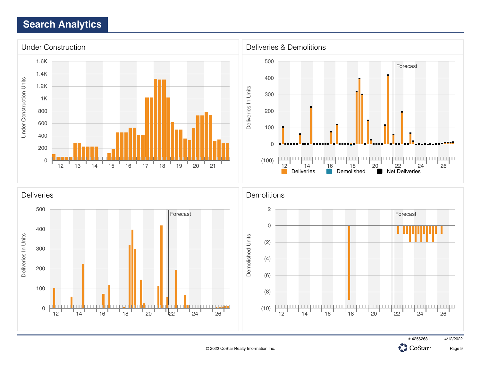

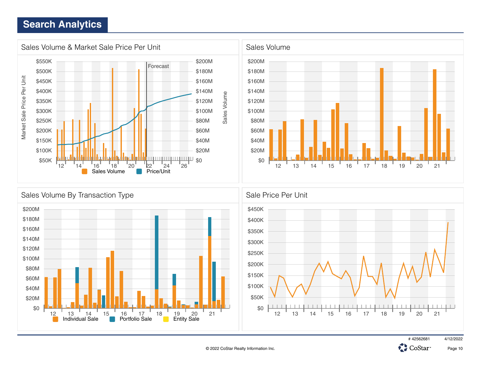



**CH** CoStar<sup>®</sup>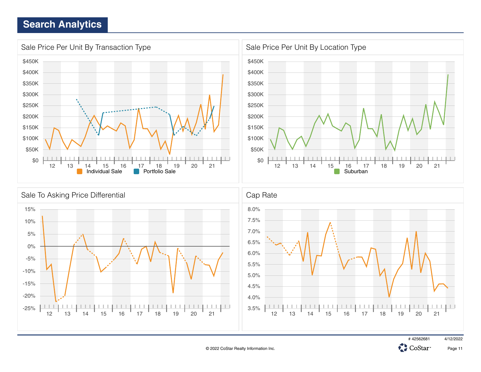



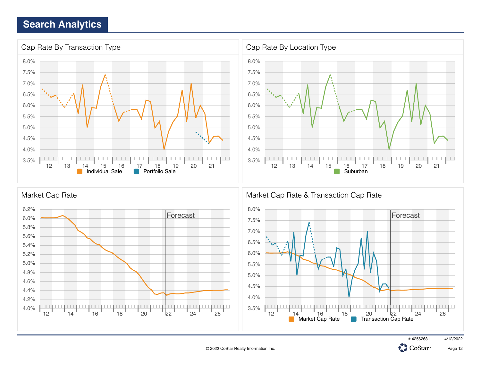



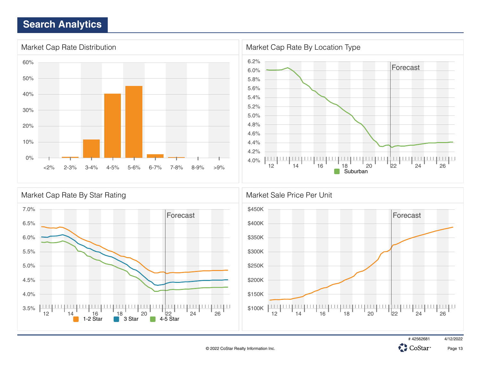





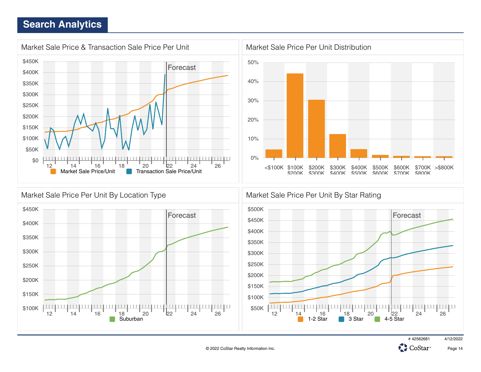





# 42562681 4/12/2022

CoStar<sup>®</sup>



© 2022 CoStar Realty Information Inc.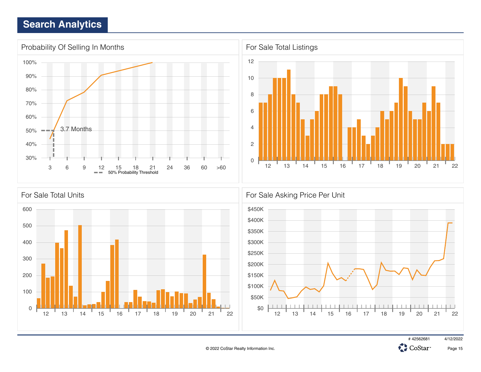



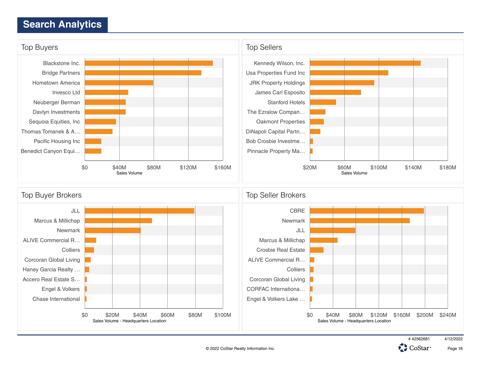



CoStar<sup>®</sup>

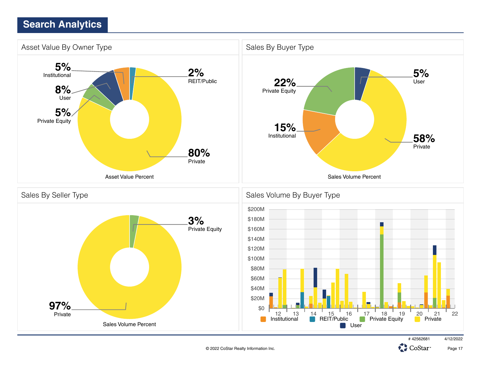

CoStar<sup>®</sup>

Page 17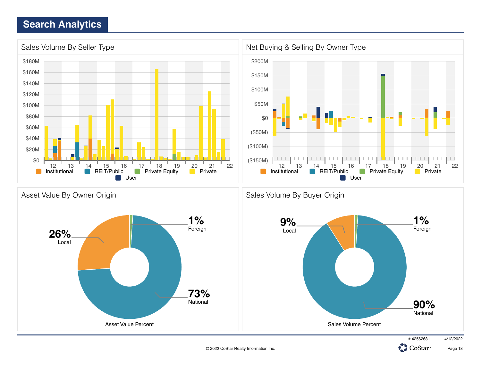

© 2022 CoStar Realty Information Inc.

Page 18

CoStar<sup>®</sup>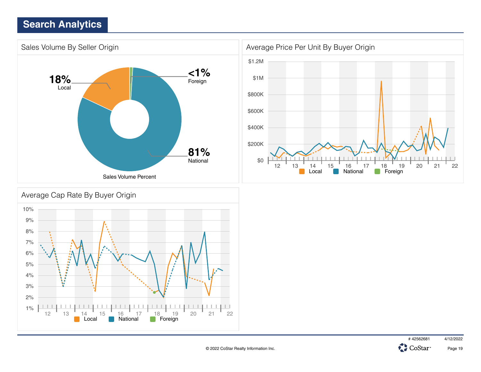





Page 19

# 42562681 4/12/2022